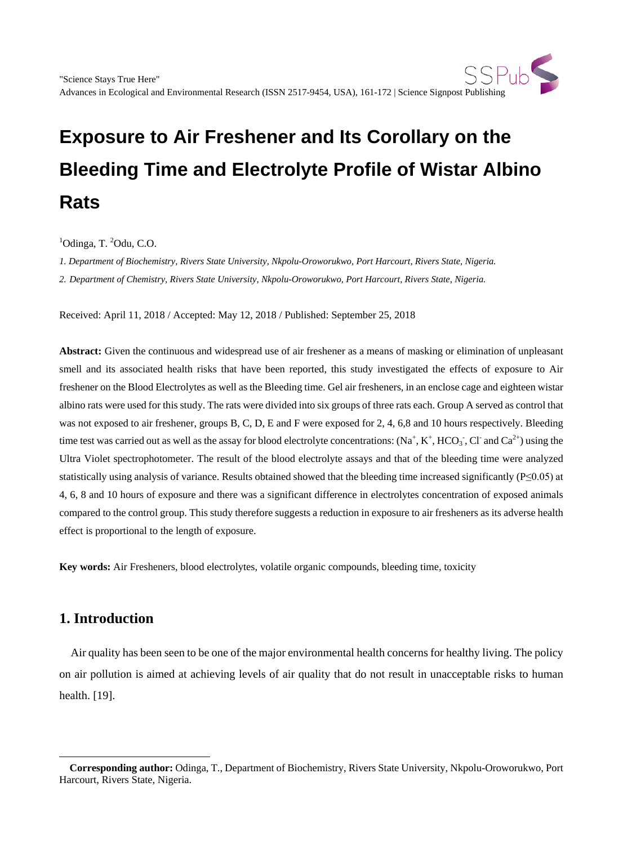# **Exposure to Air Freshener and Its Corollary on the Bleeding Time and Electrolyte Profile of Wistar Albino Rats**

 ${}^{1}$ Odinga, T.  ${}^{2}$ Odu, C.O.

*1. Department of Biochemistry, Rivers State University, Nkpolu-Oroworukwo, Port Harcourt, Rivers State, Nigeria.*

*2. Department of Chemistry, Rivers State University, Nkpolu-Oroworukwo, Port Harcourt, Rivers State, Nigeria.*

Received: April 11, 2018 / Accepted: May 12, 2018 / Published: September 25, 2018

**Abstract:** Given the continuous and widespread use of air freshener as a means of masking or elimination of unpleasant smell and its associated health risks that have been reported, this study investigated the effects of exposure to Air freshener on the Blood Electrolytes as well as the Bleeding time. Gel air fresheners, in an enclose cage and eighteen wistar albino rats were used for this study. The rats were divided into six groups of three rats each. Group A served as control that was not exposed to air freshener, groups B, C, D, E and F were exposed for 2, 4, 6,8 and 10 hours respectively. Bleeding time test was carried out as well as the assay for blood electrolyte concentrations:  $(Na^+, K^+, HCO_3^-$ , Cl<sup>-</sup> and Ca<sup>2+</sup>) using the Ultra Violet spectrophotometer. The result of the blood electrolyte assays and that of the bleeding time were analyzed statistically using analysis of variance. Results obtained showed that the bleeding time increased significantly (P≤0.05) at 4, 6, 8 and 10 hours of exposure and there was a significant difference in electrolytes concentration of exposed animals compared to the control group. This study therefore suggests a reduction in exposure to air fresheners as its adverse health effect is proportional to the length of exposure.

**Key words:** Air Fresheners, blood electrolytes, volatile organic compounds, bleeding time, toxicity

## **1. Introduction**

 $\overline{a}$ 

Air quality has been seen to be one of the major environmental health concerns for healthy living. The policy on air pollution is aimed at achieving levels of air quality that do not result in unacceptable risks to human health. [19].

<span id="page-0-0"></span>**Corresponding author:** Odinga, T., Department of Biochemistry, Rivers State University, Nkpolu-Oroworukwo, Port Harcourt, Rivers State, Nigeria.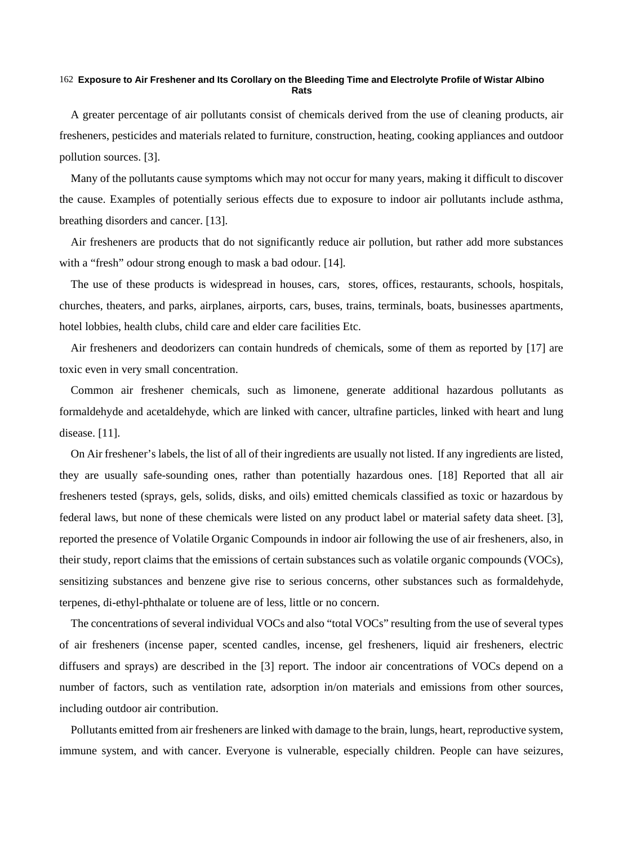#### **Exposure to Air Freshener and Its Corollary on the Bleeding Time and Electrolyte Profile of Wistar Albino**  162 **Rats**

A greater percentage of air pollutants consist of chemicals derived from the use of cleaning products, air fresheners, pesticides and materials related to furniture, construction, heating, cooking appliances and outdoor pollution sources. [3].

Many of the pollutants cause symptoms which may not occur for many years, making it difficult to discover the cause. Examples of potentially serious effects due to exposure to indoor air pollutants include asthma, breathing disorders and cancer. [13].

Air fresheners are products that do not significantly reduce air pollution, but rather add more substances with a "fresh" odour strong enough to mask a bad odour. [14].

The use of these products is widespread in houses, cars, stores, offices, restaurants, schools, hospitals, churches, theaters, and parks, airplanes, airports, cars, buses, trains, terminals, boats, businesses apartments, hotel lobbies, health clubs, child care and elder care facilities Etc.

Air fresheners and deodorizers can contain hundreds of chemicals, some of them as reported by [17] are toxic even in very small concentration.

Common air freshener chemicals, such as limonene, generate additional hazardous pollutants as formaldehyde and acetaldehyde, which are linked with cancer, ultrafine particles, linked with heart and lung disease. [11].

On Air freshener's labels, the list of all of their ingredients are usually not listed. If any ingredients are listed, they are usually safe-sounding ones, rather than potentially hazardous ones. [18] Reported that all air fresheners tested (sprays, gels, solids, disks, and oils) emitted chemicals classified as toxic or hazardous by federal laws, but none of these chemicals were listed on any product label or material safety data sheet. [3], reported the presence of Volatile Organic Compounds in indoor air following the use of air fresheners, also, in their study, report claims that the emissions of certain substances such as volatile organic compounds (VOCs), sensitizing substances and benzene give rise to serious concerns, other substances such as formaldehyde, terpenes, di-ethyl-phthalate or toluene are of less, little or no concern.

The concentrations of several individual VOCs and also "total VOCs" resulting from the use of several types of air fresheners (incense paper, scented candles, incense, gel fresheners, liquid air fresheners, electric diffusers and sprays) are described in the [3] report. The indoor air concentrations of VOCs depend on a number of factors, such as ventilation rate, adsorption in/on materials and emissions from other sources, including outdoor air contribution.

Pollutants emitted from air fresheners are linked with damage to the brain, lungs, heart, reproductive system, immune system, and with cancer. Everyone is vulnerable, especially children. People can have seizures,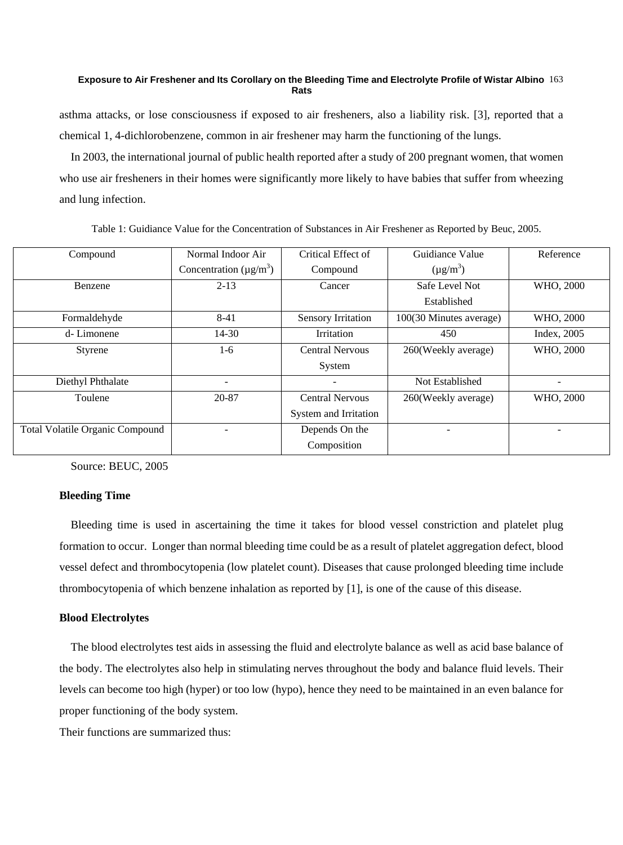#### **Exposure to Air Freshener and Its Corollary on the Bleeding Time and Electrolyte Profile of Wistar Albino**  163 **Rats**

asthma attacks, or lose consciousness if exposed to air fresheners, also a liability risk. [3], reported that a chemical 1, 4-dichlorobenzene, common in air freshener may harm the functioning of the lungs.

In 2003, the international journal of public health reported after a study of 200 pregnant women, that women who use air fresheners in their homes were significantly more likely to have babies that suffer from wheezing and lung infection.

| Normal Indoor Air                        | Critical Effect of        | Guidiance Value         | Reference                |
|------------------------------------------|---------------------------|-------------------------|--------------------------|
| Concentration ( $\mu$ g/m <sup>3</sup> ) | Compound                  | $(\mu g/m^3)$           |                          |
| $2 - 13$                                 | Cancer                    | Safe Level Not          | WHO, 2000                |
|                                          |                           | Established             |                          |
| $8-41$                                   | <b>Sensory Irritation</b> | 100(30 Minutes average) | WHO, 2000                |
| $14-30$                                  | Irritation                | 450                     | Index, 2005              |
| $1-6$                                    | <b>Central Nervous</b>    | 260(Weekly average)     | WHO, 2000                |
|                                          | System                    |                         |                          |
|                                          |                           | Not Established         |                          |
| 20-87                                    | <b>Central Nervous</b>    | 260(Weekly average)     | WHO, 2000                |
|                                          | System and Irritation     |                         |                          |
|                                          | Depends On the            |                         | $\overline{\phantom{0}}$ |
|                                          | Composition               |                         |                          |
|                                          |                           |                         |                          |

Table 1: Guidiance Value for the Concentration of Substances in Air Freshener as Reported by Beuc, 2005.

Source: BEUC, 2005

### **Bleeding Time**

Bleeding time is used in ascertaining the time it takes for blood vessel constriction and platelet plug formation to occur. Longer than normal bleeding time could be as a result of platelet aggregation defect, blood vessel defect and thrombocytopenia (low platelet count). Diseases that cause prolonged bleeding time include thrombocytopenia of which benzene inhalation as reported by [1], is one of the cause of this disease.

## **Blood Electrolytes**

The blood electrolytes test aids in assessing the fluid and electrolyte balance as well as acid base balance of the body. The electrolytes also help in stimulating nerves throughout the body and balance fluid levels. Their levels can become too high (hyper) or too low (hypo), hence they need to be maintained in an even balance for proper functioning of the body system.

Their functions are summarized thus: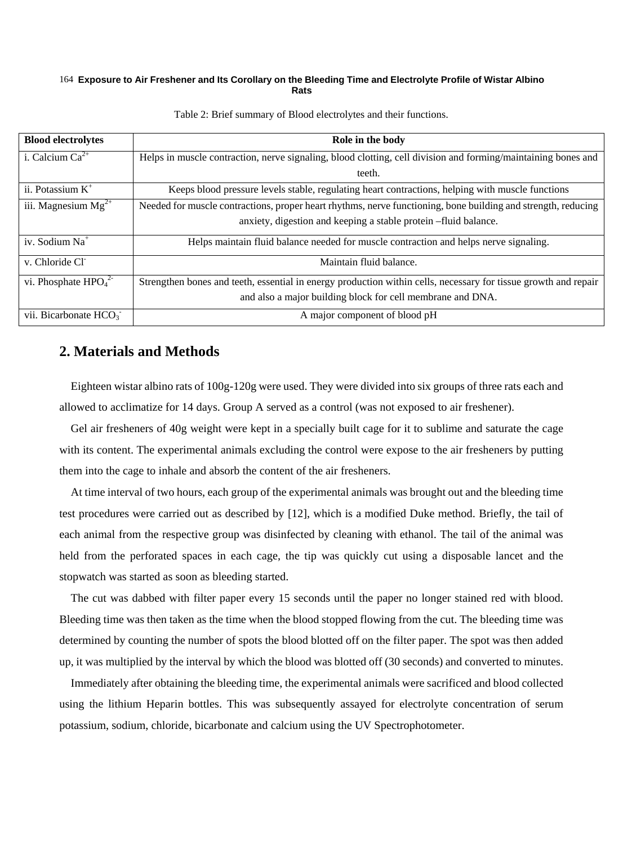#### **Exposure to Air Freshener and Its Corollary on the Bleeding Time and Electrolyte Profile of Wistar Albino**  164 **Rats**

| <b>Blood electrolytes</b>  | Role in the body                                                                                                |  |  |  |
|----------------------------|-----------------------------------------------------------------------------------------------------------------|--|--|--|
| i. Calcium $Ca^{2+}$       | Helps in muscle contraction, nerve signaling, blood clotting, cell division and forming/maintaining bones and   |  |  |  |
|                            | teeth.                                                                                                          |  |  |  |
| ii. Potassium $K^+$        | Keeps blood pressure levels stable, regulating heart contractions, helping with muscle functions                |  |  |  |
| iii. Magnesium $Mg^{2+}$   | Needed for muscle contractions, proper heart rhythms, nerve functioning, bone building and strength, reducing   |  |  |  |
|                            | anxiety, digestion and keeping a stable protein -fluid balance.                                                 |  |  |  |
| iv. Sodium Na <sup>+</sup> | Helps maintain fluid balance needed for muscle contraction and helps nerve signaling.                           |  |  |  |
| v. Chloride Cl             | Maintain fluid balance.                                                                                         |  |  |  |
| vi. Phosphate $HPO42$      | Strengthen bones and teeth, essential in energy production within cells, necessary for tissue growth and repair |  |  |  |
|                            | and also a major building block for cell membrane and DNA.                                                      |  |  |  |
| vii. Bicarbonate $HCO3$    | A major component of blood pH                                                                                   |  |  |  |

Table 2: Brief summary of Blood electrolytes and their functions.

## **2. Materials and Methods**

Eighteen wistar albino rats of 100g-120g were used. They were divided into six groups of three rats each and allowed to acclimatize for 14 days. Group A served as a control (was not exposed to air freshener).

Gel air fresheners of 40g weight were kept in a specially built cage for it to sublime and saturate the cage with its content. The experimental animals excluding the control were expose to the air fresheners by putting them into the cage to inhale and absorb the content of the air fresheners.

At time interval of two hours, each group of the experimental animals was brought out and the bleeding time test procedures were carried out as described by [12], which is a modified Duke method. Briefly, the tail of each animal from the respective group was disinfected by cleaning with ethanol. The tail of the animal was held from the perforated spaces in each cage, the tip was quickly cut using a disposable lancet and the stopwatch was started as soon as bleeding started.

The cut was dabbed with filter paper every 15 seconds until the paper no longer stained red with blood. Bleeding time was then taken as the time when the blood stopped flowing from the cut. The bleeding time was determined by counting the number of spots the blood blotted off on the filter paper. The spot was then added up, it was multiplied by the interval by which the blood was blotted off (30 seconds) and converted to minutes.

Immediately after obtaining the bleeding time, the experimental animals were sacrificed and blood collected using the lithium Heparin bottles. This was subsequently assayed for electrolyte concentration of serum potassium, sodium, chloride, bicarbonate and calcium using the UV Spectrophotometer.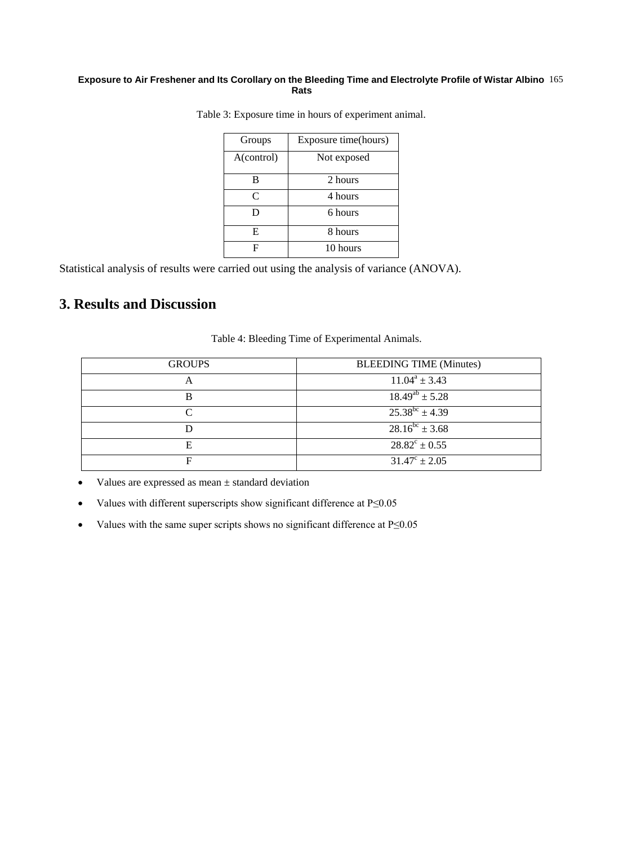#### **Exposure to Air Freshener and Its Corollary on the Bleeding Time and Electrolyte Profile of Wistar Albino**  165 **Rats**

| Groups     | Exposure time(hours) |  |  |
|------------|----------------------|--|--|
| A(control) | Not exposed          |  |  |
| в          | 2 hours              |  |  |
| C          | 4 hours              |  |  |
| D          | 6 hours              |  |  |
| E          | 8 hours              |  |  |
| F          | 10 hours             |  |  |

Table 3: Exposure time in hours of experiment animal.

Statistical analysis of results were carried out using the analysis of variance (ANOVA).

# **3. Results and Discussion**

| <b>GROUPS</b> | <b>BLEEDING TIME (Minutes)</b>  |
|---------------|---------------------------------|
|               | $11.04^a \pm 3.43$              |
| в             | $\frac{18.49^{ab} \pm 5.28}{h}$ |
|               | $25.38^{bc} \pm 4.39$           |
|               | $28.16^{bc} \pm 3.68$           |
| E             | $28.82^{\circ} \pm 0.55$        |
| F             | $31.47^{\circ} \pm 2.05$        |

Table 4: Bleeding Time of Experimental Animals.

- Values are expressed as mean ± standard deviation
- Values with different superscripts show significant difference at P≤0.05
- Values with the same super scripts shows no significant difference at P≤0.05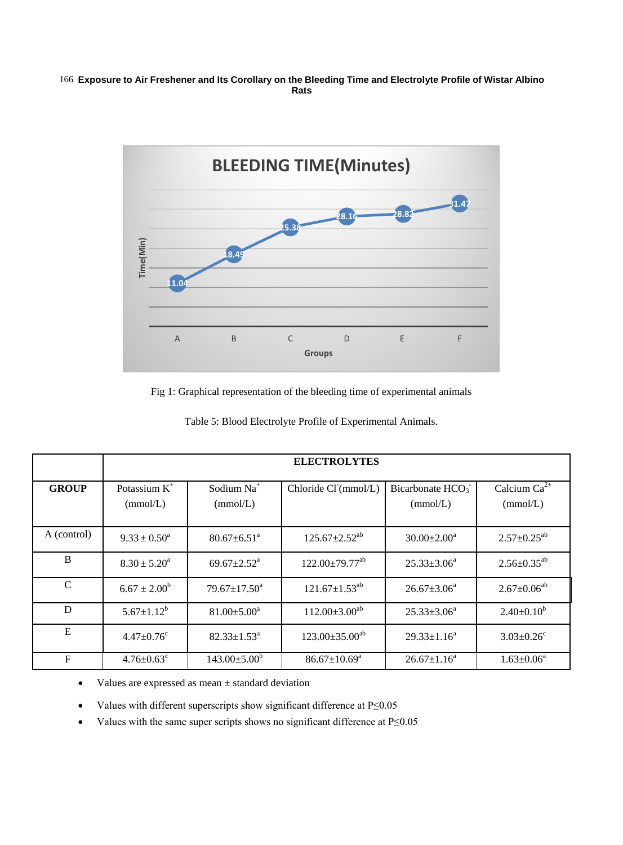#### **Exposure to Air Freshener and Its Corollary on the Bleeding Time and Electrolyte Profile of Wistar Albino**  166 **Rats**



Fig 1: Graphical representation of the bleeding time of experimental animals

|               | <b>ELECTROLYTES</b>          |                               |                                  |                                          |                               |  |
|---------------|------------------------------|-------------------------------|----------------------------------|------------------------------------------|-------------------------------|--|
| <b>GROUP</b>  | Potassium $K^+$<br>(mmol/L)  | Sodium $Na+$<br>(mmol/L)      | Chloride Cl (mmol/L)             | Bicarbonate HCO <sub>3</sub><br>(mmol/L) | Calcium $Ca^{2+}$<br>(mmol/L) |  |
| A (control)   | $9.33 \pm 0.50^a$            | $80.67 \pm 6.51$ <sup>a</sup> | $125.67 \pm 2.52^{ab}$           | $30.00 \pm 2.00^a$                       | $2.57 \pm 0.25^{ab}$          |  |
| B             | $8.30 \pm 5.20^a$            | $69.67 \pm 2.52^{\text{a}}$   | $122.00 \pm 79.77$ <sup>ab</sup> | $25.33 \pm 3.06^a$                       | $2.56 \pm 0.35^{ab}$          |  |
| $\mathcal{C}$ | $6.67 \pm 2.00^b$            | $79.67 \pm 17.50^{\text{a}}$  | $121.67 \pm 1.53^{ab}$           | $26.67 \pm 3.06^a$                       | $2.67 \pm 0.06^{ab}$          |  |
| D             | $5.67 \pm 1.12^b$            | $81.00 \pm 5.00^a$            | $112.00 \pm 3.00^{ab}$           | $25.33 \pm 3.06^a$                       | $2.40 \pm 0.10^b$             |  |
| E             | $4.47 \pm 0.76$ <sup>c</sup> | $82.33 \pm 1.53^{\text{a}}$   | $123.00 \pm 35.00^{ab}$          | $29.33 \pm 1.16^a$                       | $3.03 \pm 0.26$ <sup>c</sup>  |  |
| F             | $4.76 \pm 0.63$ <sup>c</sup> | $143.00 \pm 5.00^b$           | $86.67 \pm 10.69^{\text{a}}$     | $26.67 \pm 1.16^a$                       | $1.63 \pm 0.06^a$             |  |

Table 5: Blood Electrolyte Profile of Experimental Animals.

• Values are expressed as mean  $\pm$  standard deviation

• Values with different superscripts show significant difference at P≤0.05

• Values with the same super scripts shows no significant difference at P≤0.05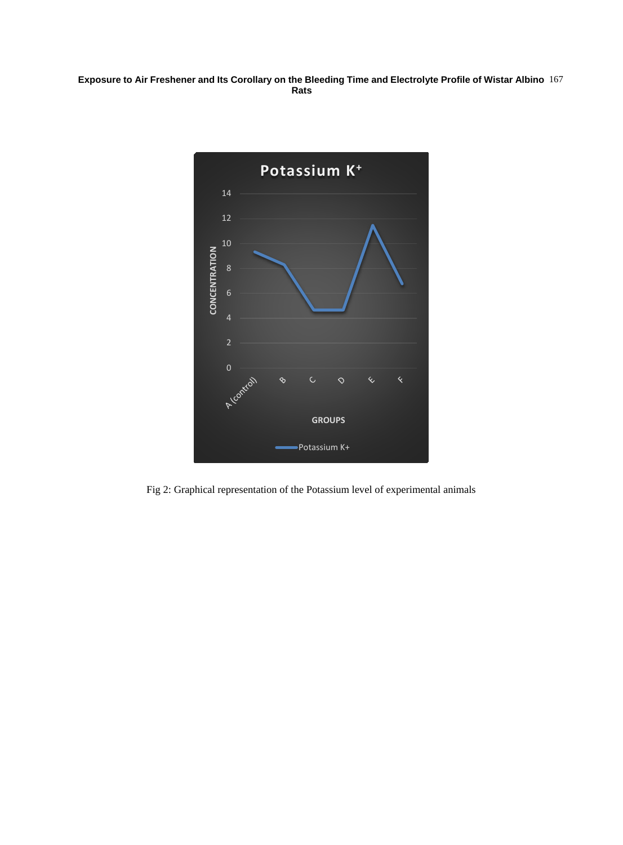#### **Exposure to Air Freshener and Its Corollary on the Bleeding Time and Electrolyte Profile of Wistar Albino Rats** 167



Fig 2: Graphical representation of the Potassium level of experimental animals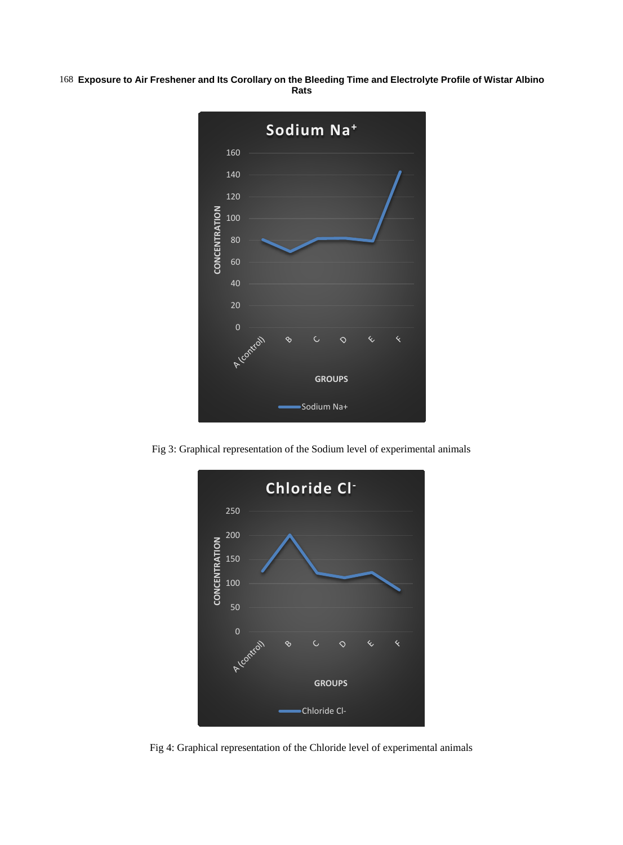**Exposure to Air Freshener and Its Corollary on the Bleeding Time and Electrolyte Profile of Wistar Albino**  168 **Rats**



Fig 3: Graphical representation of the Sodium level of experimental animals



Fig 4: Graphical representation of the Chloride level of experimental animals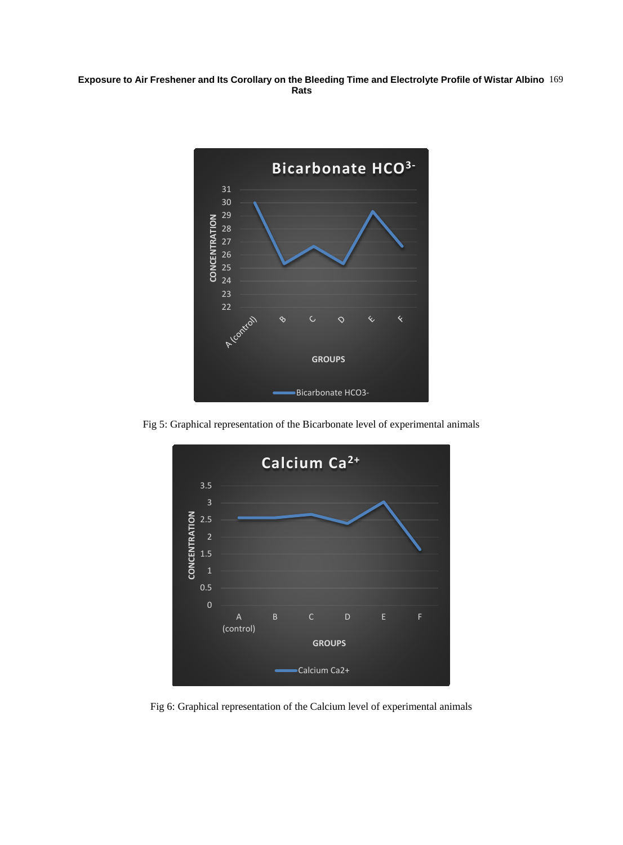#### **Exposure to Air Freshener and Its Corollary on the Bleeding Time and Electrolyte Profile of Wistar Albino Rats** 169



Fig 5: Graphical representation of the Bicarbonate level of experimental animals



Fig 6: Graphical representation of the Calcium level of experimental animals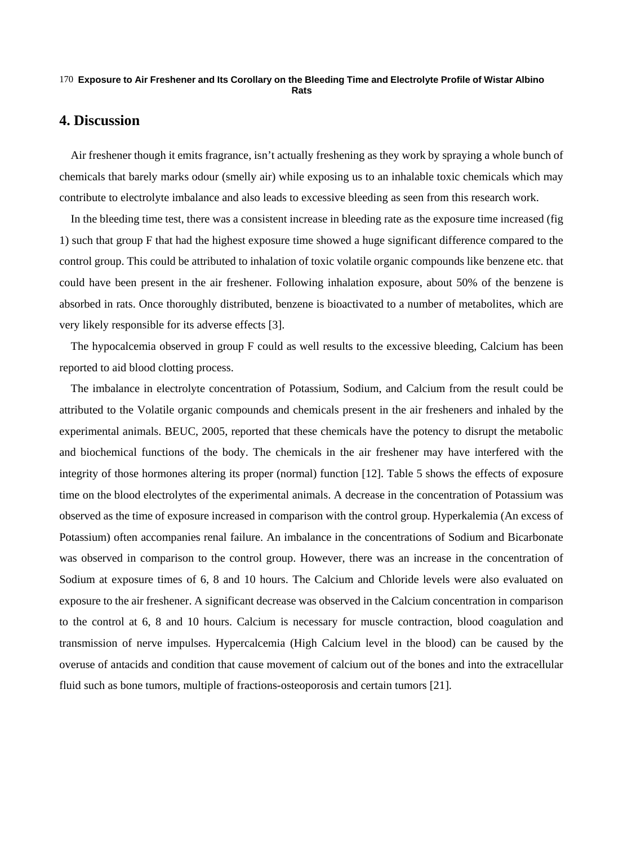#### **Exposure to Air Freshener and Its Corollary on the Bleeding Time and Electrolyte Profile of Wistar Albino**  170 **Rats**

## **4. Discussion**

Air freshener though it emits fragrance, isn't actually freshening as they work by spraying a whole bunch of chemicals that barely marks odour (smelly air) while exposing us to an inhalable toxic chemicals which may contribute to electrolyte imbalance and also leads to excessive bleeding as seen from this research work.

In the bleeding time test, there was a consistent increase in bleeding rate as the exposure time increased (fig 1) such that group F that had the highest exposure time showed a huge significant difference compared to the control group. This could be attributed to inhalation of toxic volatile organic compounds like benzene etc. that could have been present in the air freshener. Following inhalation exposure, about 50% of the benzene is absorbed in rats. Once thoroughly distributed, benzene is bioactivated to a number of metabolites, which are very likely responsible for its adverse effects [3].

The hypocalcemia observed in group F could as well results to the excessive bleeding, Calcium has been reported to aid blood clotting process.

The imbalance in electrolyte concentration of Potassium, Sodium, and Calcium from the result could be attributed to the Volatile organic compounds and chemicals present in the air fresheners and inhaled by the experimental animals. BEUC, 2005, reported that these chemicals have the potency to disrupt the metabolic and biochemical functions of the body. The chemicals in the air freshener may have interfered with the integrity of those hormones altering its proper (normal) function [12]. Table 5 shows the effects of exposure time on the blood electrolytes of the experimental animals. A decrease in the concentration of Potassium was observed as the time of exposure increased in comparison with the control group. Hyperkalemia (An excess of Potassium) often accompanies renal failure. An imbalance in the concentrations of Sodium and Bicarbonate was observed in comparison to the control group. However, there was an increase in the concentration of Sodium at exposure times of 6, 8 and 10 hours. The Calcium and Chloride levels were also evaluated on exposure to the air freshener. A significant decrease was observed in the Calcium concentration in comparison to the control at 6, 8 and 10 hours. Calcium is necessary for muscle contraction, blood coagulation and transmission of nerve impulses. Hypercalcemia (High Calcium level in the blood) can be caused by the overuse of antacids and condition that cause movement of calcium out of the bones and into the extracellular fluid such as bone tumors, multiple of fractions-osteoporosis and certain tumors [21].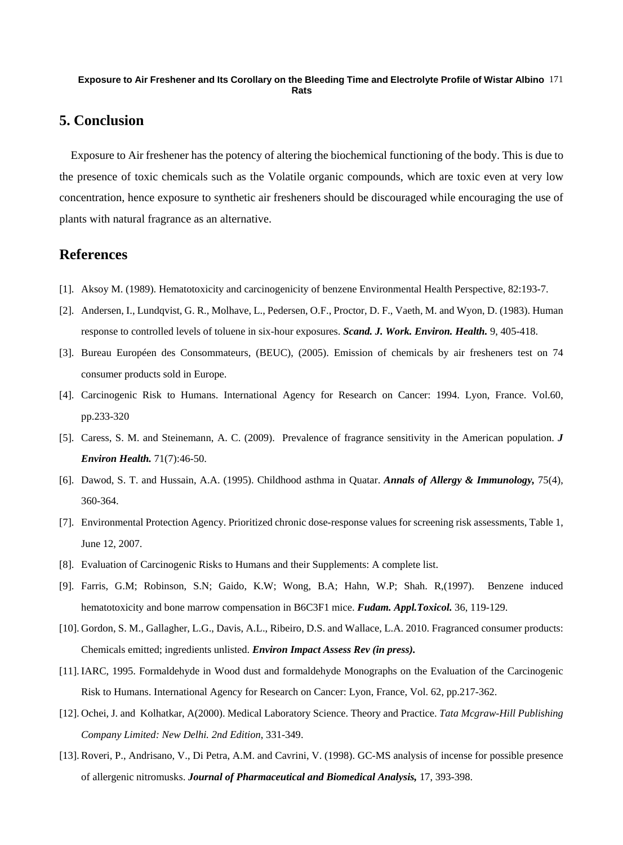#### **Exposure to Air Freshener and Its Corollary on the Bleeding Time and Electrolyte Profile of Wistar Albino**  171 **Rats**

## **5. Conclusion**

Exposure to Air freshener has the potency of altering the biochemical functioning of the body. This is due to the presence of toxic chemicals such as the Volatile organic compounds, which are toxic even at very low concentration, hence exposure to synthetic air fresheners should be discouraged while encouraging the use of plants with natural fragrance as an alternative.

## **References**

- [1]. Aksoy M. (1989). Hematotoxicity and carcinogenicity of benzene Environmental Health Perspective, 82:193-7.
- [2]. Andersen, I., Lundqvist, G. R., Molhave, L., Pedersen, O.F., Proctor, D. F., Vaeth, M. and Wyon, D. (1983). Human response to controlled levels of toluene in six-hour exposures. *Scand. J. Work. Environ. Health.* 9, 405-418.
- [3]. Bureau Européen des Consommateurs, (BEUC), (2005). Emission of chemicals by air fresheners test on 74 consumer products sold in Europe.
- [4]. Carcinogenic Risk to Humans. International Agency for Research on Cancer: 1994. Lyon, France. Vol.60, pp.233-320
- [5]. Caress, S. M. and Steinemann, A. C. (2009). Prevalence of fragrance sensitivity in the American population. *J Environ Health.* 71(7):46-50.
- [6]. Dawod, S. T. and Hussain, A.A. (1995). Childhood asthma in Quatar. *Annals of Allergy & Immunology,* 75(4), 360-364.
- [7]. Environmental Protection Agency. Prioritized chronic dose-response values for screening risk assessments, Table 1, June 12, 2007.
- [8]. Evaluation of Carcinogenic Risks to Humans and their Supplements: A complete list.
- [9]. Farris, G.M; Robinson, S.N; Gaido, K.W; Wong, B.A; Hahn, W.P; Shah. R,(1997). Benzene induced hematotoxicity and bone marrow compensation in B6C3F1 mice. *Fudam. Appl.Toxicol.* 36, 119-129.
- [10]. Gordon, S. M., Gallagher, L.G., Davis, A.L., Ribeiro, D.S. and Wallace, L.A. 2010. Fragranced consumer products: Chemicals emitted; ingredients unlisted. *Environ Impact Assess Rev (in press).*
- [11]. IARC, 1995. Formaldehyde in Wood dust and formaldehyde Monographs on the Evaluation of the Carcinogenic Risk to Humans. International Agency for Research on Cancer: Lyon, France, Vol. 62, pp.217-362.
- [12]. Ochei, J. and Kolhatkar, A(2000). Medical Laboratory Science. Theory and Practice. *Tata Mcgraw-Hill Publishing Company Limited: New Delhi. 2nd Edition*, 331-349.
- [13]. Roveri, P., Andrisano, V., Di Petra, A.M. and Cavrini, V. (1998). GC-MS analysis of incense for possible presence of allergenic nitromusks. *Journal of Pharmaceutical and Biomedical Analysis,* 17, 393-398.